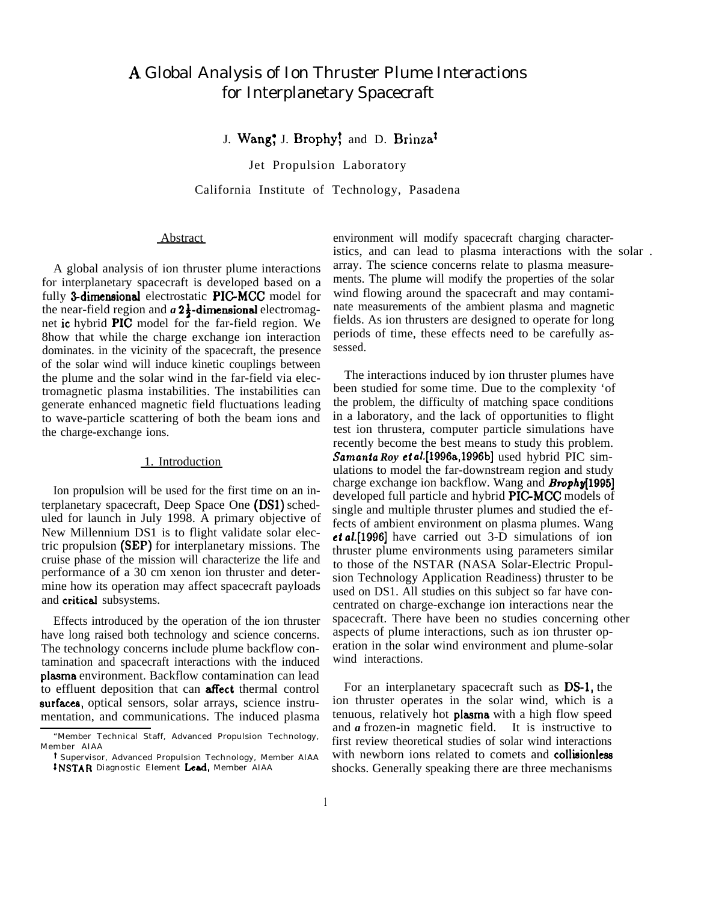# A. Global Analysis of Ion Thruster Plume Interactions for Interplanetary Spacecraft

# J. Wang<sup>\*</sup>, J. Brophy<sup>†</sup> and D. Brinza<sup>†</sup>

Jet Propulsion Laboratory

California Institute of Technology, Pasadena

#### Abstract

A global analysis of ion thruster plume interactions for interplanetary spacecraft is developed based on a fully 3-dimensional electrostatic PIC-MCC model for the near-field region and  $a 2\frac{1}{2}$ -dimensional electromagnet ic hybrid PIC model for the far-field region. We 8how that while the charge exchange ion interaction dominates. in the vicinity of the spacecraft, the presence of the solar wind will induce kinetic couplings between the plume and the solar wind in the far-field via electromagnetic plasma instabilities. The instabilities can generate enhanced magnetic field fluctuations leading to wave-particle scattering of both the beam ions and the charge-exchange ions.

#### 1. Introduction

Ion propulsion will be used for the first time on an interplanetary spacecraft, Deep Space One (DS1) scheduled for launch in July 1998. A primary objective of New Millennium DS1 is to flight validate solar electric propulsion (SEP) for interplanetary missions. The cruise phase of the mission will characterize the life and performance of a 30 cm xenon ion thruster and determine how its operation may affect spacecraft payloads and critical subsystems.

Effects introduced by the operation of the ion thruster have long raised both technology and science concerns. The technology concerns include plume backflow contamination and spacecraft interactions with the induced plasma environment. Backflow contamination can lead to effluent deposition that can **affect** thermal control surfaces, optical sensors, solar arrays, science instrumentation, and communications. The induced plasma environment will modify spacecraft charging characteristics, and can lead to plasma interactions with the solar . array. The science concerns relate to plasma measurements. The plume will modify the properties of the solar wind flowing around the spacecraft and may contaminate measurements of the ambient plasma and magnetic fields. As ion thrusters are designed to operate for long periods of time, these effects need to be carefully assessed.

The interactions induced by ion thruster plumes have been studied for some time. Due to the complexity 'of the problem, the difficulty of matching space conditions in a laboratory, and the lack of opportunities to flight test ion thrustera, computer particle simulations have recently become the best means to study this problem. Samanta *Roy et* a/.[l996a,l996b] used hybrid PIC simulations to model the far-downstream region and study charge exchange ion backflow. Wang and **Brophy**[1995] developed full particle and hybrid PIC-MCC models of single and multiple thruster plumes and studied the effects of ambient environment on plasma plumes. Wang et aL[1996] have carried out 3-D simulations of ion thruster plume environments using parameters similar to those of the NSTAR (NASA Solar-Electric Propulsion Technology Application Readiness) thruster to be used on DS1. All studies on this subject so far have concentrated on charge-exchange ion interactions near the spacecraft. There have been no studies concerning other aspects of plume interactions, such as ion thruster operation in the solar wind environment and plume-solar wind interactions.

For an interplanetary spacecraft such as DS-1, the ion thruster operates in the solar wind, which is a tenuous, relatively hot **plasma** with a high flow speed and *a* frozen-in magnetic field. It is instructive to first review theoretical studies of solar wind interactions with newborn ions related to comets and collisionless shocks. Generally speaking there are three mechanisms

<sup>&</sup>quot;Member Technical Staff, Advanced Propulsion Technology, Member AIAA

t Supervisor, Advanced Propulsion Technology, Member AIAA <sup>t</sup> NSTAR Diagnostic Element Lead, Member AIAA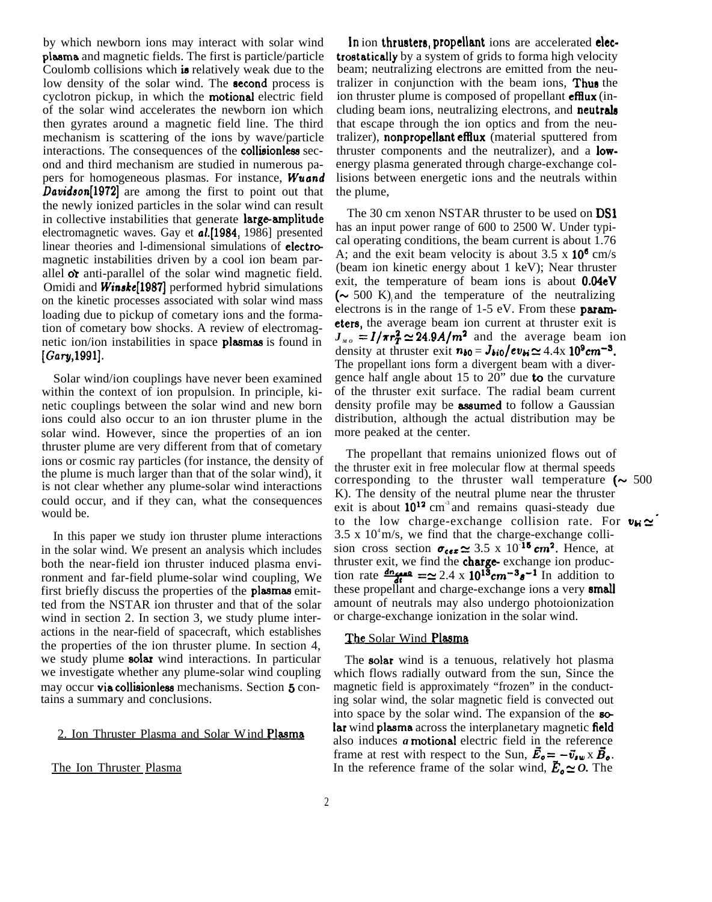by which newborn ions may interact with solar wind pkma and magnetic fields. The first is particle/particle Coulomb collisions which is relatively weak due to the low density of the solar wind. The **second** process is cyclotron pickup, in which the motional electric field of the solar wind accelerates the newborn ion which then gyrates around a magnetic field line. The third mechanism is scattering of the ions by wave/particle interactions. The consequences of the collisionless second and third mechanism are studied in numerous papers for homogeneous plasmas. For instance, **Wuand** Davidson[1972] are among the first to point out that the newly ionized particles in the solar wind can result in collective instabilities that generate large-amplitude electromagnetic waves. Gay et al.[1984, 1986] presented linear theories and 1-dimensional simulations of electromagnetic instabilities driven by a cool ion beam parallel  $\alpha$  anti-parallel of the solar wind magnetic field. Omidi and **Winske**<sup>[1987]</sup> performed hybrid simulations on the kinetic processes associated with solar wind mass loading due to pickup of cometary ions and the formation of cometary bow shocks. A review of electromagnetic ion/ion instabilities in space plasmas is found in [Gary,1991].

Solar wind/ion couplings have never been examined within the context of ion propulsion. In principle, kinetic couplings between the solar wind and new born ions could also occur to an ion thruster plume in the solar wind. However, since the properties of an ion thruster plume are very different from that of cometary ions or cosmic ray particles (for instance, the density of the plume is much larger than that of the solar wind), it is not clear whether any plume-solar wind interactions could occur, and if they can, what the consequences would be.

In this paper we study ion thruster plume interactions in the solar wind. We present an analysis which includes both the near-field ion thruster induced plasma environment and far-field plume-solar wind coupling, We first briefly discuss the properties of the plssmaa emitted from the NSTAR ion thruster and that of the solar wind in section 2. In section 3, we study plume interactions in the near-field of spacecraft, which establishes the properties of the ion thruster plume. In section 4, we study plume solar wind interactions. In particular we investigate whether any plume-solar wind coupling may occur via collisionless mechanisms. Section 5 contains a summary and conclusions.

#### 2. Ion Thruster Plasma and Solar Wind Plasma

The Ion Thruster Plasma

In ion thrusters, propellant ions are accelerated electrostatically by a system of grids to forma high velocity beam; neutralizing electrons are emitted from the neutralizer in conjunction with the beam ions, Thus the ion thruster plume is composed of propellant **efflux** (including beam ions, neutralizing electrons, and **neutrals** that escape through the ion optics and from the neutralizer), nonpropellant efflux (material sputtered from thruster components and the neutralizer), and a **low**energy plasma generated through charge-exchange collisions between energetic ions and the neutrals within the plume,

The 30 cm xenon NSTAR thruster to be used on **DS1** has an input power range of 600 to 2500 W. Under typical operating conditions, the beam current is about 1.76 A; and the exit beam velocity is about  $3.5 \times 10^6$  cm/s (beam ion kinetic energy about 1 keV); Near thruster exit, the temperature of beam ions is about 0.04eV  $({\sim} 500 \text{ K})$  and the temperature of the neutralizing electrons is in the range of  $1-5$  eV. From these **param**eters, the average beam ion current at thruster exit is  $J_{M0} = I/\pi r_T^2 \simeq 24.9A/m^2$  and the average beam ion density at thruster exit  $n_{b0} = J_{bi0}/ev_{bi} \simeq 4.4x \; 10^9 cm^{-3}$ . The propellant ions form a divergent beam with a divergence half angle about 15 to  $20$ <sup>"</sup> due **to** the curvature of the thruster exit surface. The radial beam current density profile may be **assumed** to follow a Gaussian distribution, although the actual distribution may be more peaked at the center.

The propellant that remains unionized flows out of the thruster exit in free molecular flow at thermal speeds corresponding to the thruster wall temperature  $(\sim 500$ K). The density of the neutral plume near the thruster exit is about  $10^{12}$  cm<sup>3</sup> and remains quasi-steady due to the low charge-exchange collision rate. For  $v_{\mathbf{M}} \simeq$  $3.5 \times 10^4$  m/s, we find that the charge-exchange collision cross section  $\sigma_{\text{cex}} \approx 3.5 \times 10^{-15} \text{ cm}^2$ . Hence, at thruster exit, we find the **charge-** exchange ion producsho a to mis, we find that the entarge exchange com<br>sion cross section  $\sigma_{\text{cex}} \approx 3.5 \times 10^{-15} \text{ cm}^2$ . Hence, at<br>thruster exit, we find the **charge**-exchange ion produc-<br>tion rate  $\frac{d n_{\text{cex}}}{dt} = \approx 2.4 \times 10^{13} \text{ cm}^{$ amount of neutrals may also undergo photoionization or charge-exchange ionization in the solar wind.

# The Solar Wind Plasma

The solar wind is a tenuous, relatively hot plasma which flows radially outward from the sun, Since the magnetic field is approximately "frozen" in the conducting solar wind, the solar magnetic field is convected out into space by the solar wind. The expansion of the solar wind plasma across the interplanetary magnetic field also induces *a* motional electric field in the reference frame at rest with respect to the Sun,  $\vec{E}_{o} = -\vec{v}_{sw} \times \vec{B}_{o}$ . In the reference frame of the solar wind,  $\vec{E}_o \simeq 0$ . The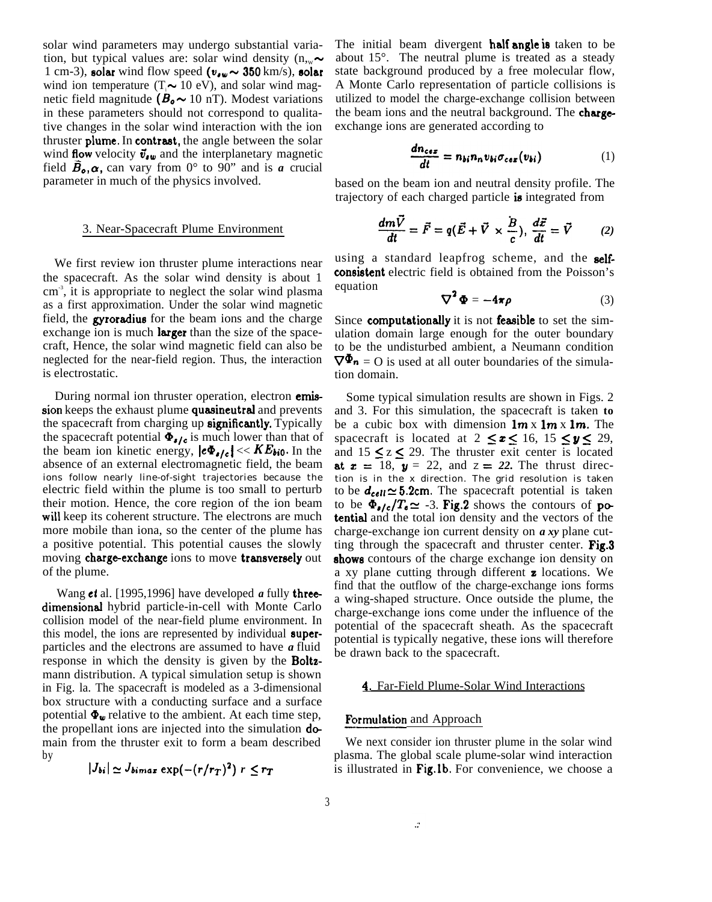solar wind parameters may undergo substantial variation, but typical values are: solar wind density  $(n_{\infty} \sim$ 1 cm-3), solar wind flow speed  $(v_{\bullet w} \sim 350 \text{ km/s})$ , solar wind ion temperature (T<sub>i</sub> $\sim$  10 eV), and solar wind magnetic field magnitude ( $B_0 \sim 10$  nT). Modest variations in these parameters should not correspond to qualitative changes in the solar wind interaction with the ion thruster plume. In contrast, the angle between the solar wind flow velocity  $\vec{v}_{\ell w}$  and the interplanetary magnetic field  $\tilde{B}_{o}$ ,  $\alpha$ , can vary from 0° to 90" and is *a* crucial parameter in much of the physics involved.

# 3. Near-Spacecraft Plume Environment

We first review ion thruster plume interactions near the spacecraft. As the solar wind density is about 1 cm<sup>3</sup>, it is appropriate to neglect the solar wind plasma as a first approximation. Under the solar wind magnetic field, the **gyroradius** for the beam ions and the charge exchange ion is much **larger** than the size of the spacecraft, Hence, the solar wind magnetic field can also be neglected for the near-field region. Thus, the interaction is electrostatic.

During normal ion thruster operation, electron **emis**sion keeps the exhaust plume quasineutral and prevents the spacecraft from charging up significantly. Typically the spacecraft potential  $\Phi_{\bullet/\epsilon}$  is much lower than that of the beam ion kinetic energy,  $|e\Phi_{e/e}| \ll KE_{bio}$ . In the absence of an external electromagnetic field, the beam ions follow nearly line-of-sight trajectories because the electric field within the plume is too small to perturb their motion. Hence, the core region of the ion beam will keep its coherent structure. The electrons are much more mobile than iona, so the center of the plume has a positive potential. This potential causes the slowly moving charge-exchange ions to move transversely out of the plume.

Wang et al. [1995,1996] have developed *a* fully threedimensional hybrid particle-in-cell with Monte Carlo collision model of the near-field plume environment. In this model, the ions are represented by individual **super**particles and the electrons are assumed to have *a* fluid response in which the density is given by the **Boltz**mann distribution. A typical simulation setup is shown in Fig. la. The spacecraft is modeled as a 3-dimensional box structure with a conducting surface and a surface potential  $\Phi_{\mathbf{w}}$  relative to the ambient. At each time step, the propellant ions are injected into the simulation **do**main from the thruster exit to form a beam described by

$$
|J_{bi}| \simeq J_{bimax} \exp(-(r/r_T)^2) r \leq r_T
$$

The initial beam divergent **half angle is** taken to be about 15°. The neutral plume is treated as a steady state background produced by a free molecular flow, A Monte Carlo representation of particle collisions is utilized to model the charge-exchange collision between the beam ions and the neutral background. The **charge**exchange ions are generated according to

$$
\frac{dn_{ces}}{dt} = n_{bi}n_{n}v_{bi}\sigma_{ces}(v_{bi})
$$
 (1)

based on the beam ion and neutral density profile. The trajectory of each charged particle is integrated from

$$
\frac{dm\vec{V}}{dt} = \vec{F} = q(\vec{E} + \vec{V} \times \frac{\vec{B}}{c}), \frac{d\vec{x}}{dt} = \vec{V}
$$
 (2)

using a standard leapfrog scheme, and the selfconsistent electric field is obtained from the Poisson's equation

$$
\nabla^2 \Phi = -4\pi \rho \tag{3}
$$

Since computationally it is not feasible to set the simulation domain large enough for the outer boundary to be the undisturbed ambient, a Neumann condition  $\nabla^{\Phi_n}$  = O is used at all outer boundaries of the simulation domain.

Some typical simulation results are shown in Figs. 2 and 3. For this simulation, the spacecraft is taken **to** be a cubic box with dimension  $\mathbf{1}\mathbf{m} \times \mathbf{1}\mathbf{m}$ . The spacecraft is located at  $2 \le z \le 16$ ,  $15 \le y \le 29$ , and  $15 \le z \le 29$ . The thruster exit center is located at  $x = 18$ ,  $y = 22$ , and  $z = 22$ . The thrust direction is in the x direction. The grid resolution is taken to be  $d_{cell} \simeq 5.2$ cm. The spacecraft potential is taken to be  $\Phi_{\bullet}/c/T_{\bullet} \simeq -3$ . Fig.2 shows the contours of potential and the total ion density and the vectors of the charge-exchange ion current density on *a xy* plane cutting through the spacecraft and thruster center. Fig.3 shows contours of the charge exchange ion density on a xy plane cutting through different **z** locations. We find that the outflow of the charge-exchange ions forms a wing-shaped structure. Once outside the plume, the charge-exchange ions come under the influence of the potential of the spacecraft sheath. As the spacecraft potential is typically negative, these ions will therefore be drawn back to the spacecraft.

# 4. Far-Field Plume-Solar Wind Interactions

# Formulation and Approach

 $\mathcal{L}$ 

We next consider ion thruster plume in the solar wind plasma. The global scale plume-solar wind interaction is illustrated in Fig.lb. For convenience, we choose a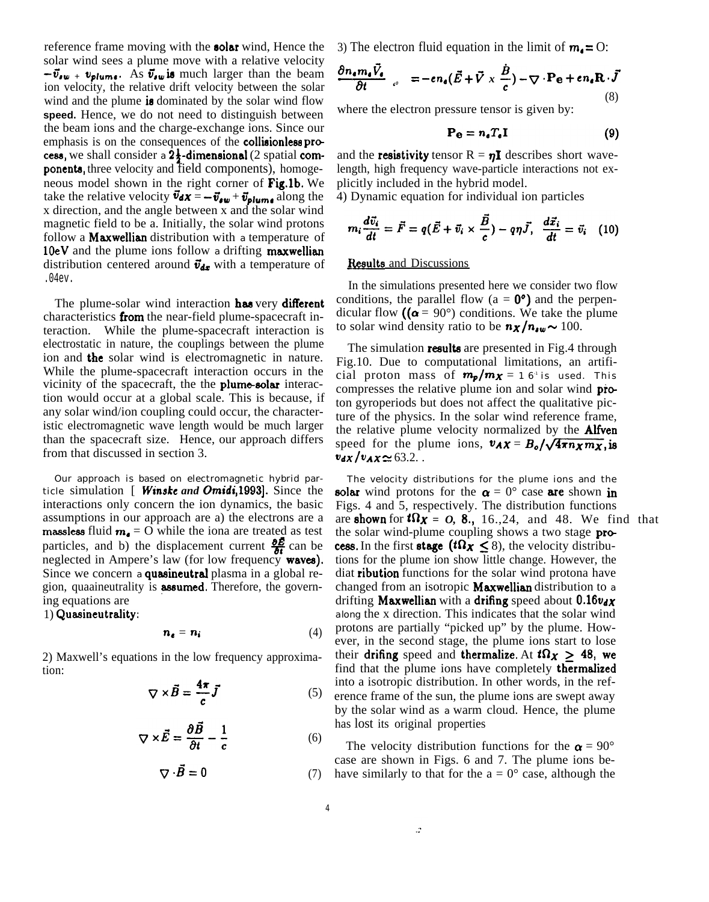reference frame moving with the solar wind, Hence the solar wind sees a plume move with a relative velocity  $-\vec{v}_{\textit{sw}} + v_{\textit{plume}}$ . As  $\vec{v}_{\textit{sw}}$  is much larger than the beam ion velocity, the relative drift velocity between the solar wind and the plume is dominated by the solar wind flow **speed.** Hence, we do not need to distinguish between the beam ions and the charge-exchange ions. Since our emphasis is on the consequences of the **collisionless** process, we shall consider a  $2\frac{1}{2}$ -dimensional (2 spatial components, three velocity and field components), homogeneous model shown in the right corner of Fig.1b. We take the relative velocity  $\vec{v}_{dX} = -\vec{v}_{dw} + \vec{v}_{plum}$  along the x direction, and the angle between x and the solar wind magnetic field to be a. Initially, the solar wind protons follow a **Maxwellian** distribution with a temperature of 10eV and the plume ions follow a drifting maxwellian distribution centered around  $\vec{v}_{dx}$  with a temperature of .04ev.

The plume-solar wind interaction has very different characteristics from the near-field plume-spacecraft interaction. While the plume-spacecraft interaction is electrostatic in nature, the couplings between the plume ion and the solar wind is electromagnetic in nature. While the plume-spacecraft interaction occurs in the vicinity of the spacecraft, the the **plume-solar** interaction would occur at a global scale. This is because, if any solar wind/ion coupling could occur, the characteristic electromagnetic wave length would be much larger than the spacecraft size. Hence, our approach differs from that discussed in section 3.

Our approach is based on electromagnetic hybrid particle simulation [ Winske and Omidi, 1993]. Since the interactions only concern the ion dynamics, the basic assumptions in our approach are a) the electrons are a massless fluid  $m_e = 0$  while the iona are treated as test massless fluid  $m_e = 0$  while the lona are treated as test<br>particles, and b) the displacement current  $\frac{\partial E}{\partial t}$  can be neglected in Ampere's law (for low frequency waves). Since we concern a **quasineutral** plasma in a global region, quaaineutrality is **assumed**. Therefore, the governing equations are

 $1)$  Quasineutrality:

$$
n_e = n_i \tag{4}
$$

2) Maxwell's equations in the low frequency approximation:

$$
\nabla \times \vec{B} = \frac{4\pi}{c} \vec{J} \tag{5}
$$

$$
\nabla \times \vec{E} = \frac{\partial B}{\partial t} - \frac{1}{c}
$$
 (6)

$$
\nabla \cdot \vec{B} = 0 \tag{7}
$$

3) The electron fluid equation in the limit of  $m_0 = 0$ :

$$
\frac{\partial n_{\epsilon} m_{\epsilon} \vec{V}_{\epsilon}}{\partial t} \Big|_{c^0} = -e n_{\epsilon} (\vec{E} + \vec{V} \times \frac{\vec{B}}{c}) - \nabla \cdot \mathbf{P}_{\epsilon} + e n_{\epsilon} \mathbf{R} \cdot \vec{J}
$$
\n(8)

where the electron pressure tensor is given by:

$$
\mathbf{P}_{\mathbf{e}} = n_{\epsilon} T_{\epsilon} \mathbf{I} \tag{9}
$$

and the **resistivity** tensor  $R = \eta I$  describes short wavelength, high frequency wave-particle interactions not explicitly included in the hybrid model.

4) Dynamic equation for individual ion particles

$$
m_i \frac{d\vec{v}_i}{dt} = \vec{F} = q(\vec{E} + \vec{v}_i \times \frac{\vec{B}}{c}) - q\eta \vec{J}, \ \ \frac{d\vec{x}_i}{dt} = \vec{v}_i \ \ (10)
$$

# Results and Discussions

In the simulations presented here we consider two flow conditions, the parallel flow ( $a = 0^{\circ}$ ) and the perpendicular flow  $((\alpha = 90^{\circ})$  conditions. We take the plume to solar wind density ratio to be  $n \times / n_{sw} \sim 100$ .

The simulation **results** are presented in Fig.4 through Fig.10. Due to computational limitations, an artificial proton mass of  $m_p/m_X = 16^{\degree}$  is used. This compresses the relative plume ion and solar wind proton gyroperiods but does not affect the qualitative picture of the physics. In the solar wind reference frame, the relative plume velocity normalized by the **Alfven** speed for the plume ions,  $v_{AX} = B_o / \sqrt{4 \pi n_X m_X}$ , is  $v_{dX}/v_{AX} \simeq 63.2$ ...

The velocity distributions for the plume ions and the solar wind protons for the  $\alpha = 0^{\circ}$  case are shown in Figs. 4 and 5, respectively. The distribution functions are **shown** for  $t\Omega_X = 0$ , 8., 16., 24, and 48. We find that the solar wind-plume coupling shows a two stage process. In the first stage ( $t\Omega_X \leq 8$ ), the velocity distributions for the plume ion show little change. However, the diat ribution functions for the solar wind protona have changed from an isotropic Maxwellian distribution to a drifting Maxwellian with a drifing speed about  $0.16v_{dX}$ along the x direction. This indicates that the solar wind protons are partially "picked up" by the plume. However, in the second stage, the plume ions start to lose their drifing speed and thermalize. At  $t\Omega_X \geq 48$ , we find that the plume ions have completely thermalized into a isotropic distribution. In other words, in the reference frame of the sun, the plume ions are swept away by the solar wind as a warm cloud. Hence, the plume has lost its original properties

The velocity distribution functions for the  $\alpha = 90^{\circ}$ case are shown in Figs. 6 and 7. The plume ions be-(7) have similarly to that for the  $a = 0^{\circ}$  case, although the

 $\ddot{\cdot}$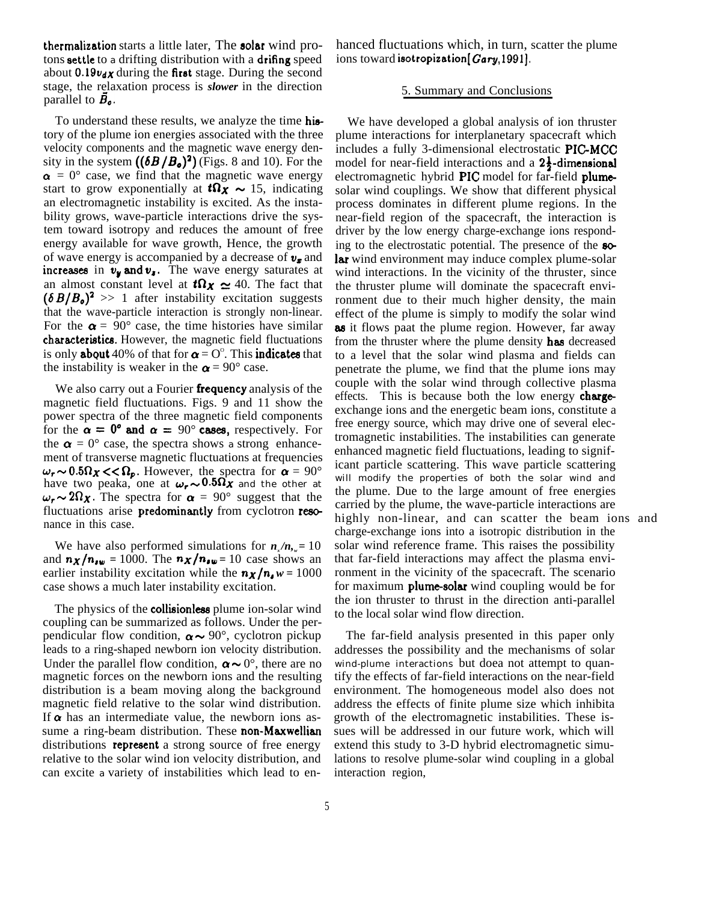thermalization starts a little later, The solar wind protons settle to a drifting distribution with a drifing speed about  $0.19v_{dX}$  during the first stage. During the second stage, the relaxation process is *slower* in the direction parallel to  $\vec{B}_{\rho}$ .

To understand these results, we analyze the time history of the plume ion energies associated with the three velocity components and the magnetic wave energy density in the system  $((\delta B/B_0)^2)$  (Figs. 8 and 10). For the  $\alpha = 0^{\circ}$  case, we find that the magnetic wave energy start to grow exponentially at  $t\Omega_X \sim 15$ , indicating an electromagnetic instability is excited. As the instability grows, wave-particle interactions drive the system toward isotropy and reduces the amount of free energy available for wave growth, Hence, the growth of wave energy is accompanied by a decrease of  $v_{\tau}$  and increases in  $v_y$  and  $v_z$ . The wave energy saturates at an almost constant level at  $t\Omega_X \simeq 40$ . The fact that  $(\delta B/B_0)^2 >> 1$  after instability excitation suggests that the wave-particle interaction is strongly non-linear. For the  $\alpha = 90^{\circ}$  case, the time histories have similar characteristics. However, the magnetic field fluctuations is only **about** 40% of that for  $\alpha = O^{\circ}$ . This **indicates** that the instability is weaker in the  $\alpha = 90^{\circ}$  case.

We also carry out a Fourier **frequency** analysis of the magnetic field fluctuations. Figs. 9 and 11 show the power spectra of the three magnetic field components for the  $\alpha = 0^{\circ}$  and  $\alpha = 90^{\circ}$  cases, respectively. For the  $\alpha = 0^{\circ}$  case, the spectra shows a strong enhancement of transverse magnetic fluctuations at frequencies  $\omega_r \sim 0.5 \Omega_X < \Omega_p$ . However, the spectra for  $\alpha = 90^\circ$ have two peaka, one at  $\omega_r \sim 0.5\Omega_X$  and the other at  $\omega_r \sim 2\Omega_x$ . The spectra for  $\alpha = 90^\circ$  suggest that the fluctuations arise **predominantly** from cyclotron resonance in this case.

We have also performed simulations for  $n_x/n_y = 10$ and  $n_X/n_{sw} = 1000$ . The  $n_X/n_{sw} = 10$  case shows an earlier instability excitation while the  $n_X/n_a w = 1000$ case shows a much later instability excitation.

The physics of the **collisionless** plume ion-solar wind coupling can be summarized as follows. Under the perpendicular flow condition,  $\alpha \sim 90^{\circ}$ , cyclotron pickup leads to a ring-shaped newborn ion velocity distribution. Under the parallel flow condition,  $\alpha \sim 0^{\circ}$ , there are no magnetic forces on the newborn ions and the resulting distribution is a beam moving along the background magnetic field relative to the solar wind distribution. If  $\alpha$  has an intermediate value, the newborn ions assume a ring-beam distribution. These non-Maxwellian distributions **represent** a strong source of free energy relative to the solar wind ion velocity distribution, and can excite a variety of instabilities which lead to enhanced fluctuations which, in turn, scatter the plume ions toward isotropization [Gary, 1991].

#### 5. Summary and Conclusions

We have developed a global analysis of ion thruster plume interactions for interplanetary spacecraft which includes a fully 3-dimensional electrostatic PIC-MCC model for near-field interactions and a  $2\frac{1}{2}$ -dimensional electromagnetic hybrid PIC model for far-field plume solar wind couplings. We show that different physical process dominates in different plume regions. In the near-field region of the spacecraft, the interaction is driver by the low energy charge-exchange ions responding to the electrostatic potential. The presence of the so-Iar wind environment may induce complex plume-solar wind interactions. In the vicinity of the thruster, since the thruster plume will dominate the spacecraft environment due to their much higher density, the main effect of the plume is simply to modify the solar wind as it flows paat the plume region. However, far away from the thruster where the plume density has decreased to a level that the solar wind plasma and fields can penetrate the plume, we find that the plume ions may couple with the solar wind through collective plasma effects. This is because both the low energy chargeexchange ions and the energetic beam ions, constitute a free energy source, which may drive one of several electromagnetic instabilities. The instabilities can generate enhanced magnetic field fluctuations, leading to significant particle scattering. This wave particle scattering will modify the properties of both the solar wind and the plume. Due to the large amount of free energies carried by the plume, the wave-particle interactions are highly non-linear, and can scatter the beam ions and charge-exchange ions into a isotropic distribution in the solar wind reference frame. This raises the possibility that far-field interactions may affect the plasma environment in the vicinity of the spacecraft. The scenario for maximum **plume-solar** wind coupling would be for the ion thruster to thrust in the direction anti-parallel to the local solar wind flow direction.

The far-field analysis presented in this paper only addresses the possibility and the mechanisms of solar wind-plume interactions but doea not attempt to quantify the effects of far-field interactions on the near-field environment. The homogeneous model also does not address the effects of finite plume size which inhibita growth of the electromagnetic instabilities. These issues will be addressed in our future work, which will extend this study to 3-D hybrid electromagnetic simulations to resolve plume-solar wind coupling in a global interaction region,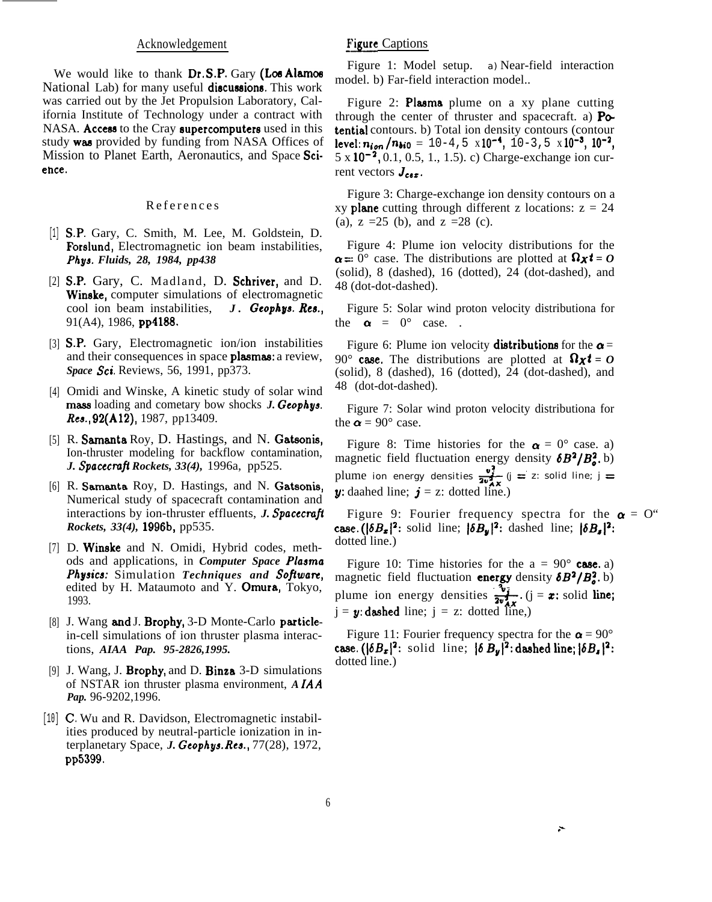#### Acknowledgement

We would like to thank  $Dr.S.P.$  Gary (Los Alamos National Lab) for many useful discussions. This work was carried out by the Jet Propulsion Laboratory, California Institute of Technology under a contract with NASA. Access to the Cray supercomputers used in this study was provided by funding from NASA Offices of Mission to Planet Earth, Aeronautics, and Space Science.

#### Reference s

- [1] S.P. Gary, C. Smith, M. Lee, M. Goldstein, D. Forslund, Electromagnetic ion beam instabilities, *Phys. Fluids, 28, 1984, pp438*
- [2] S.P. Gary, C. Madland, D. Schriver, and D. Winske, computer simulations of electromagnetic cool ion beam instabilities, *J. Geophys. Res.*, 91(A4), 1986, pp4188.
- [3] S.P. Gary, Electromagnetic ion/ion instabilities and their consequences in space **plasmas**: a review, *Space* Sci. Reviews, 56, 1991, pp373.
- [4] Omidi and Winske, A kinetic study of solar wind mass loading and cometary bow shocks *J. Geophys. Res,* 92(A12), 1987, pp13409.
- [5] R. Samanta Roy, D. Hastings, and N. Gatsonis Ion-thruster modeling for backflow contamination, *J. Spacecmjl Rockets, 33(4),* 1996a, pp525.
- [6] R. Samanta Roy, D. Hastings, and N. Gatsonis Numerical study of spacecraft contamination and interactions by ion-thruster effluents, *J. Spacecraft Rockets, 33(4),* 1996b, pp535.
- [7] D. Winske and N. Omidi, Hybrid codes, methods and applications, in *Computer Space Plasma Physics:* Simulation *Techniques and Sojiwam,* edited by H. Mataumoto and Y. Omura, Tokyo, 1993.
- [8] J. Wang and J. Brophy, 3-D Monte-Carlo particlein-cell simulations of ion thruster plasma interactions, *AIAA Pap. 95-2826,1995.*
- [9] J. Wang, J. Brophy, and D. Binza 3-D simulations of NSTAR ion thruster plasma environment, *A IAA Pap.* 96-9202,1996.
- [10] C. Wu and R. Davidson, Electromagnetic instabilities produced by neutral-particle ionization in interplanetary Space, *J. Geophy% Re8.,* 77(28), 1972, pp5399.

# **Figure Captions**

Figure 1: Model setup. a) Near-field interaction model. b) Far-field interaction model..

Figure 2: Plasma plume on a xy plane cutting through the center of thruster and spacecraft. a)  $P\odot$ tential contours. b) Total ion density contours (contour level:  $n_{ion} / n_{bi0} = 10-4, 5 \times 10^{-4}, 10-3, 5 \times 10^{-3}, 10^{-2},$ 5 x 10-2, 0.1, 0.5, 1., 1.5). c) Charge-exchange ion current vectors *Jcez.*

Figure 3: Charge-exchange ion density contours on a xy **plane** cutting through different z locations:  $z = 24$ (a),  $z = 25$  (b), and  $z = 28$  (c).

Figure 4: Plume ion velocity distributions for the  $\alpha = 0^{\circ}$  case. The distributions are plotted at  $\Omega_{\chi} t = 0$ (solid), 8 (dashed), 16 (dotted), 24 (dot-dashed), and 48 (dot-dot-dashed).

Figure 5: Solar wind proton velocity distributiona for the  $\alpha = 0^{\circ}$  case.

Figure 6: Plume ion velocity **distributions** for the  $\alpha$  = 90° case. The distributions are plotted at  $\Omega_{\mathbf{X}}t = 0$ (solid), 8 (dashed), 16 (dotted), 24 (dot-dashed), and 48 (dot-dot-dashed).

Figure 7: Solar wind proton velocity distributiona for the  $\alpha = 90^{\circ}$  case.

Figure 8: Time histories for the  $\alpha = 0^{\circ}$  case. a) magnetic field fluctuation energy density  $\delta B^2/B_o^2$ . b) magnetic field fluctuation energy density  $\delta B^2/B_o^2$ . b)<br>plume ion energy densities  $\frac{v_i^2}{2v_{AX}^2}$  (j = z: solid line; j = y: daahed line;  $\boldsymbol{j} = z$ : dotted line.)

Figure 9: Fourier frequency spectra for the  $\alpha = 0$ " case.  $(|\delta B_x|^2:$  solid line;  $|\delta B_y|^2:$  dashed line;  $|\delta B_x|^2:$ dotted line.)

Figure 10: Time histories for the  $a = 90^\circ$  case. a) magnetic field fluctuation energy density  $\delta B^2/B_o^2$ . b) magnetic field fluctuation **energy** density  $\delta B^2/B_o^2$ . b)<br>plume ion energy densities  $\frac{\nu_j}{2\nu_{AX}}$ . (j = x: solid line;  $j = y$ : dashed line;  $j = z$ : dotted line,)

Figure 11: Fourier frequency spectra for the  $\alpha = 90^{\circ}$ case.  $(|\delta B_x|^2$ : solid line;  $|\delta B_y|^2$ : dashed line;  $|\delta B_x|^2$ : dotted line.)

,.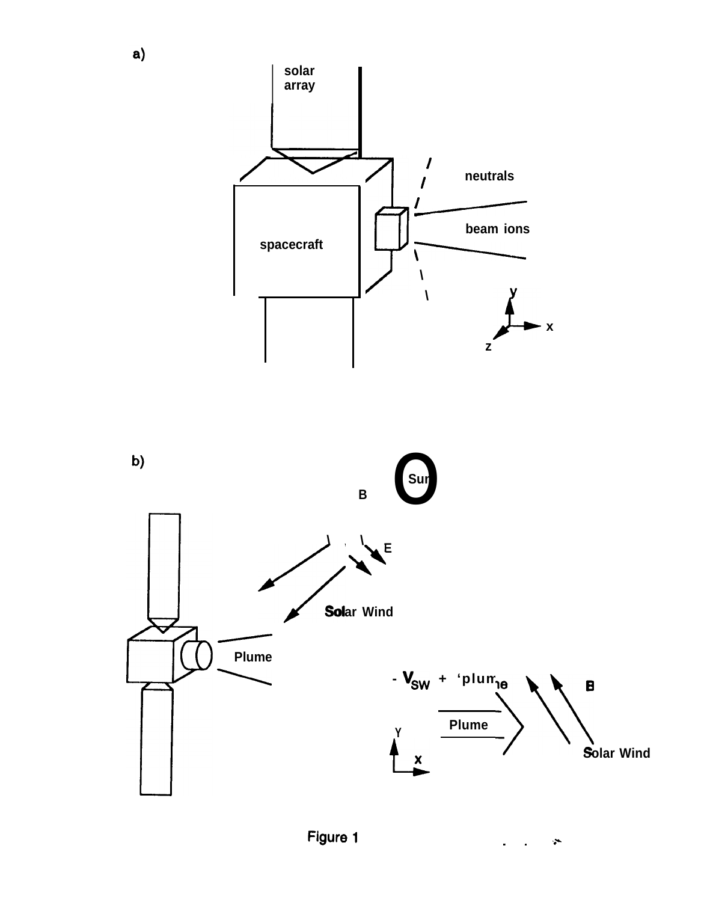

 $\tilde{\mathbf{r}}$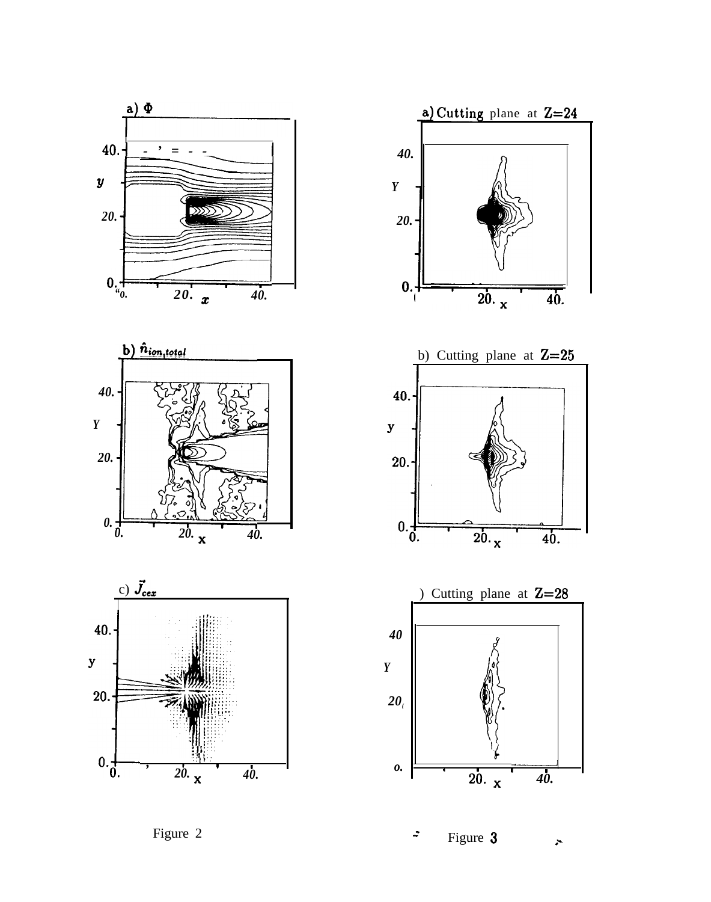



 $\overline{20. x}$ 

 $40.$ 

Figure 2

Figure 3  $\ddot{z}$  $\ddot{\phantom{1}}$ 

 $\frac{1}{20}$ . x

 $\overline{40}$ .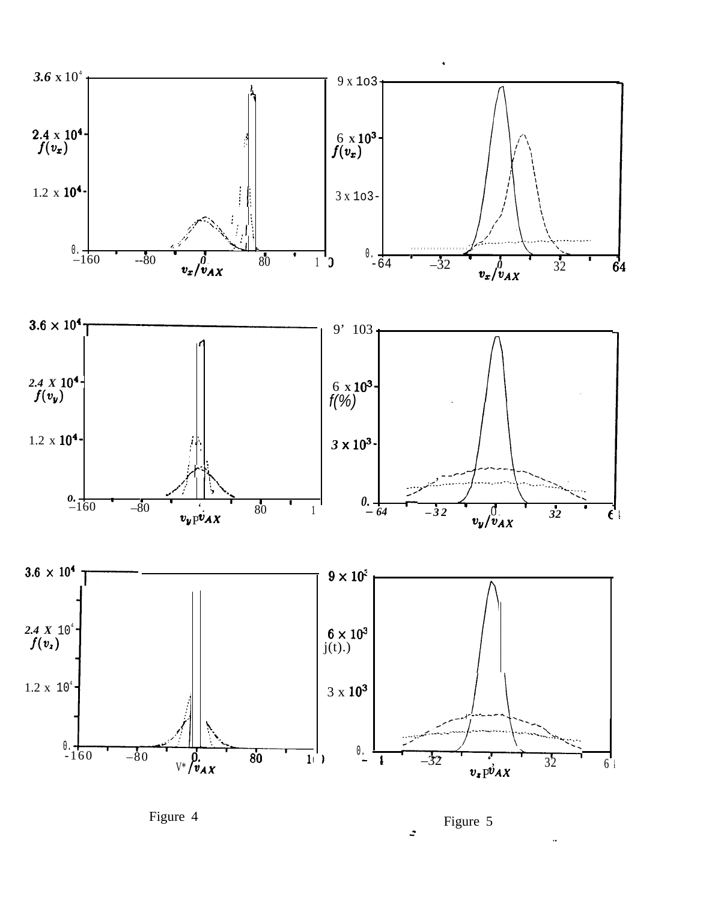

Figure 5  $\ddot{\cdot}$ 

..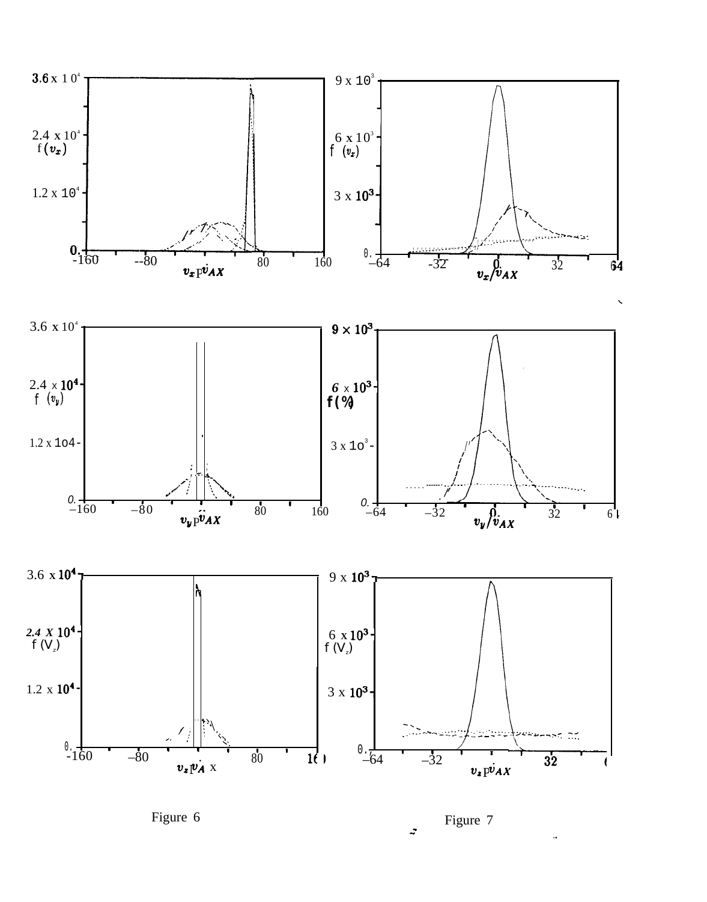